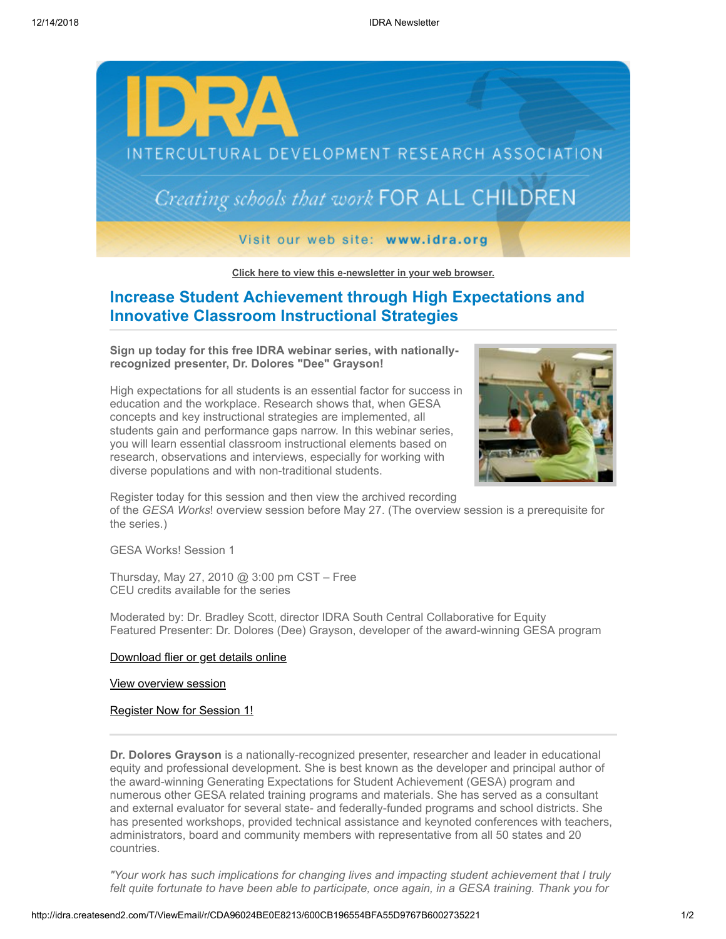

**[Click here to view this e-newsletter in your web browser.](http://idra.createsend1.com/t/r/e/nlytdi/xlycihk/)**

## **Increase Student Achievement through High Expectations and Innovative Classroom Instructional Strategies**

**Sign up today for this free IDRA webinar series, with nationallyrecognized presenter, Dr. Dolores "Dee" Grayson!**

High expectations for all students is an essential factor for success in education and the workplace. Research shows that, when GESA concepts and key instructional strategies are implemented, all students gain and performance gaps narrow. In this webinar series, you will learn essential classroom instructional elements based on research, observations and interviews, especially for working with diverse populations and with non-traditional students.



Register today for this session and then view the archived recording of the *GESA Works*! overview session before May 27. (The overview session is a prerequisite for the series.)

GESA Works! Session 1

Thursday, May 27, 2010 @ 3:00 pm CST – Free CEU credits available for the series

Moderated by: Dr. Bradley Scott, director IDRA South Central Collaborative for Equity Featured Presenter: Dr. Dolores (Dee) Grayson, developer of the award-winning GESA program

### [Download flier or get details online](http://idra.createsend1.com/t/r/l/nlytdi/xlycihk/y)

### [View overview session](http://idra.createsend1.com/t/r/l/nlytdi/xlycihk/j)

#### [Register Now for Session 1!](http://idra.createsend1.com/t/r/l/nlytdi/xlycihk/t)

**Dr. Dolores Grayson** is a nationally-recognized presenter, researcher and leader in educational equity and professional development. She is best known as the developer and principal author of the award-winning Generating Expectations for Student Achievement (GESA) program and numerous other GESA related training programs and materials. She has served as a consultant and external evaluator for several state- and federally-funded programs and school districts. She has presented workshops, provided technical assistance and keynoted conferences with teachers, administrators, board and community members with representative from all 50 states and 20 countries.

*"Your work has such implications for changing lives and impacting student achievement that I truly felt quite fortunate to have been able to participate, once again, in a GESA training. Thank you for*